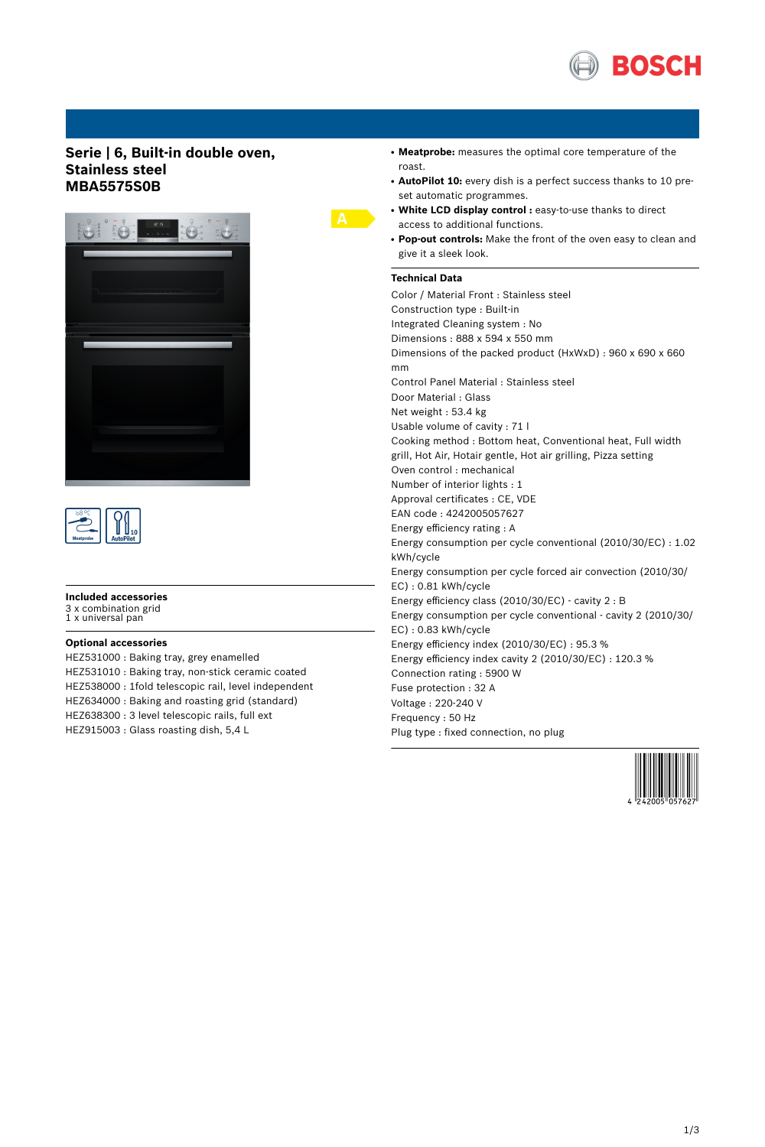

## **Serie | 6, Built-in double oven, Stainless steel MBA5575S0B**





### **Included accessories**

3 x combination grid 1 x universal pan

#### **Optional accessories**

HEZ531000 : Baking tray, grey enamelled HEZ531010 : Baking tray, non-stick ceramic coated HEZ538000 : 1fold telescopic rail, level independent HEZ634000 : Baking and roasting grid (standard) HEZ638300 : 3 level telescopic rails, full ext HEZ915003 : Glass roasting dish, 5,4 L

- Meatprobe: measures the optimal core temperature of the roast.
- AutoPilot 10: every dish is a perfect success thanks to 10 preset automatic programmes.
- **White LCD display control :** easy-to-use thanks to direct access to additional functions.
- Pop-out controls: Make the front of the oven easy to clean and give it a sleek look.

#### **Technical Data**

Color / Material Front : Stainless steel Construction type : Built-in Integrated Cleaning system : No Dimensions : 888 x 594 x 550 mm Dimensions of the packed product (HxWxD) : 960 x 690 x 660 mm Control Panel Material : Stainless steel Door Material : Glass Net weight : 53.4 kg Usable volume of cavity : 71 l Cooking method : Bottom heat, Conventional heat, Full width grill, Hot Air, Hotair gentle, Hot air grilling, Pizza setting Oven control : mechanical Number of interior lights : 1 Approval certificates : CE, VDE EAN code : 4242005057627 Energy efficiency rating : A Energy consumption per cycle conventional (2010/30/EC) : 1.02 kWh/cycle Energy consumption per cycle forced air convection (2010/30/ EC) : 0.81 kWh/cycle Energy efficiency class (2010/30/EC) - cavity 2 : B Energy consumption per cycle conventional - cavity 2 (2010/30/ EC) : 0.83 kWh/cycle Energy efficiency index (2010/30/EC) : 95.3 % Energy efficiency index cavity 2 (2010/30/EC) : 120.3 % Connection rating : 5900 W Fuse protection : 32 A Voltage : 220-240 V Frequency : 50 Hz Plug type : fixed connection, no plug

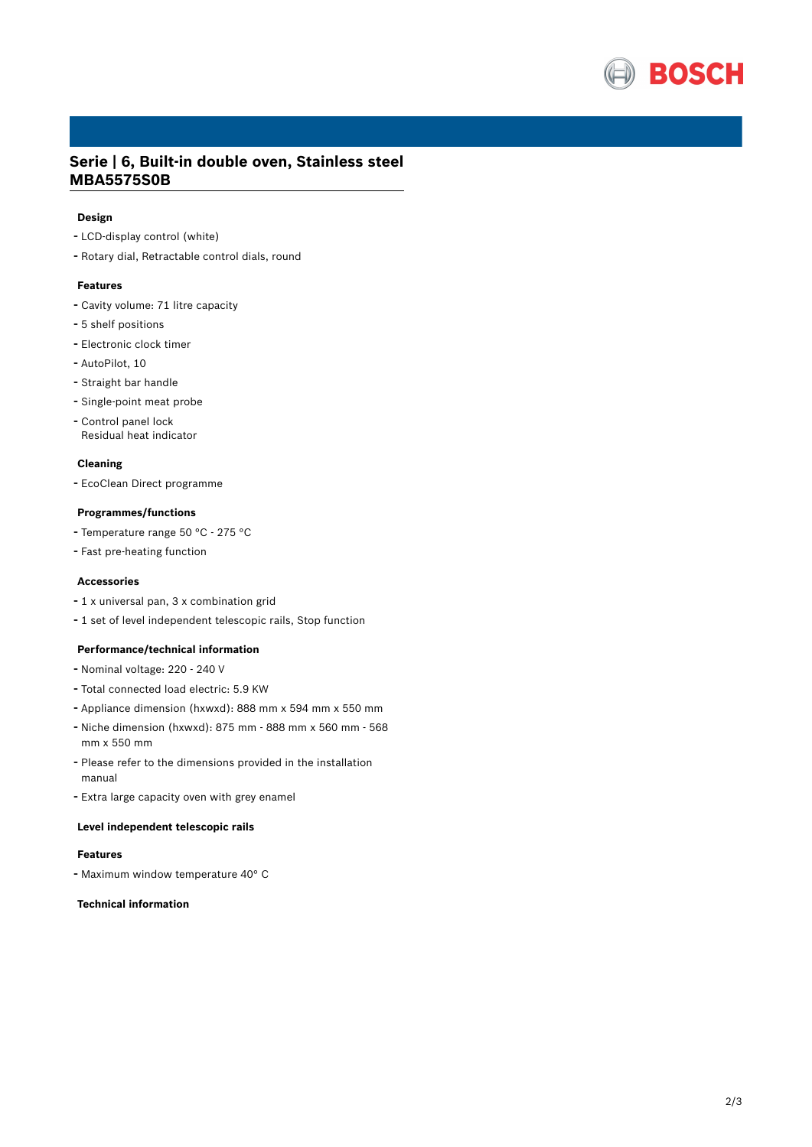

# **Serie | 6, Built-in double oven, Stainless steel MBA5575S0B**

#### **Design**

- LCD-display control (white)
- Rotary dial, Retractable control dials, round

#### **Features**

- Cavity volume: <sup>71</sup> litre capacity
- 5 shelf positions
- Electronic clock timer
- AutoPilot, <sup>10</sup>
- Straight bar handle
- Single-point meat probe
- Control panel lock Residual heat indicator

#### **Cleaning**

- EcoClean Direct programme

#### **Programmes/functions**

- Temperature range <sup>50</sup> °C <sup>275</sup> °C
- Fast pre-heating function

#### **Accessories**

- <sup>1</sup> <sup>x</sup> universal pan, <sup>3</sup> <sup>x</sup> combination grid
- <sup>1</sup> set of level independent telescopic rails, Stop function

#### **Performance/technical information**

- Nominal voltage: <sup>220</sup> <sup>240</sup> <sup>V</sup>
- Total connected load electric: 5.9 KW
- Appliance dimension (hxwxd): 888 mm x 594 mm x 550 mm
- Niche dimension (hxwxd): <sup>875</sup> mm <sup>888</sup> mm <sup>x</sup> <sup>560</sup> mm <sup>568</sup> mm x 550 mm
- Please refer to the dimensions provided in the installation manual
- Extra large capacity oven with grey enamel

### **Level independent telescopic rails**

#### **Features**

- Maximum window temperature 40° <sup>C</sup>

### **Technical information**